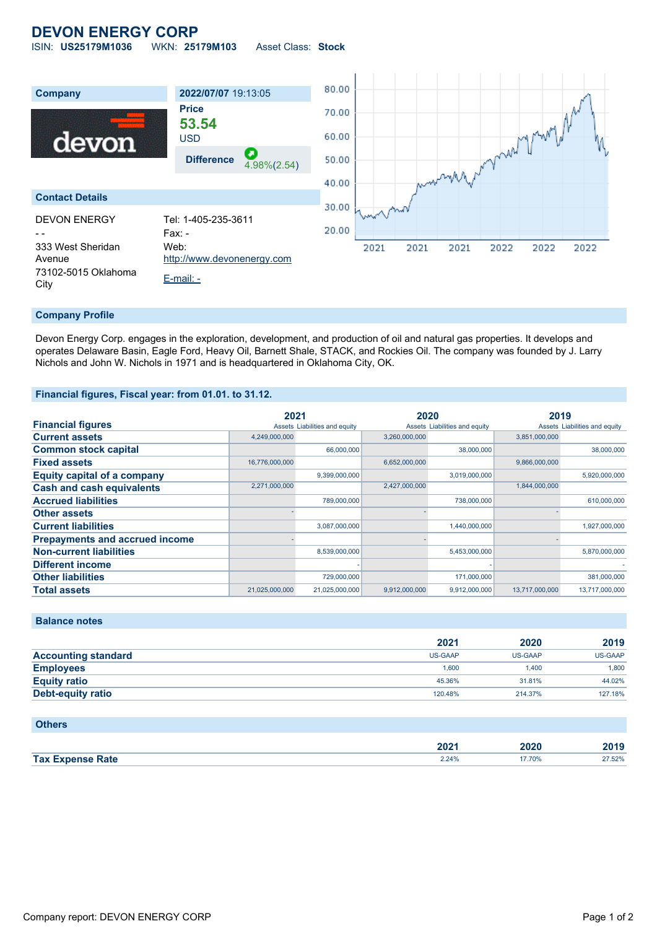# **DEVON ENERGY CORP**

ISIN: **US25179M1036** WKN: **25179M103** Asset Class: **Stock**



### **Company Profile**

Devon Energy Corp. engages in the exploration, development, and production of oil and natural gas properties. It develops and operates Delaware Basin, Eagle Ford, Heavy Oil, Barnett Shale, STACK, and Rockies Oil. The company was founded by J. Larry Nichols and John W. Nichols in 1971 and is headquartered in Oklahoma City, OK.

#### **Financial figures, Fiscal year: from 01.01. to 31.12.**

|                                       | 2021           |                               | 2020          |                               | 2019           |                               |
|---------------------------------------|----------------|-------------------------------|---------------|-------------------------------|----------------|-------------------------------|
| <b>Financial figures</b>              |                | Assets Liabilities and equity |               | Assets Liabilities and equity |                | Assets Liabilities and equity |
| <b>Current assets</b>                 | 4,249,000,000  |                               | 3,260,000,000 |                               | 3,851,000,000  |                               |
| <b>Common stock capital</b>           |                | 66,000,000                    |               | 38,000,000                    |                | 38,000,000                    |
| <b>Fixed assets</b>                   | 16,776,000,000 |                               | 6,652,000,000 |                               | 9,866,000,000  |                               |
| <b>Equity capital of a company</b>    |                | 9,399,000,000                 |               | 3,019,000,000                 |                | 5,920,000,000                 |
| <b>Cash and cash equivalents</b>      | 2,271,000,000  |                               | 2,427,000,000 |                               | 1,844,000,000  |                               |
| <b>Accrued liabilities</b>            |                | 789,000,000                   |               | 738,000,000                   |                | 610.000.000                   |
| <b>Other assets</b>                   |                |                               |               |                               |                |                               |
| <b>Current liabilities</b>            |                | 3,087,000,000                 |               | 1,440,000,000                 |                | 1,927,000,000                 |
| <b>Prepayments and accrued income</b> |                |                               |               |                               |                |                               |
| <b>Non-current liabilities</b>        |                | 8,539,000,000                 |               | 5,453,000,000                 |                | 5,870,000,000                 |
| <b>Different income</b>               |                |                               |               |                               |                |                               |
| <b>Other liabilities</b>              |                | 729,000,000                   |               | 171,000,000                   |                | 381,000,000                   |
| <b>Total assets</b>                   | 21,025,000,000 | 21,025,000,000                | 9,912,000,000 | 9,912,000,000                 | 13,717,000,000 | 13,717,000,000                |

## **Balance notes**

|                            | 2021           | 2020           | 2019    |
|----------------------------|----------------|----------------|---------|
| <b>Accounting standard</b> | <b>US-GAAP</b> | <b>US-GAAP</b> | US-GAAP |
| <b>Employees</b>           | 1.600          | 1.400          | 1.800   |
| <b>Equity ratio</b>        | 45.36%         | 31.81%         | 44.02%  |
| Debt-equity ratio          | 120.48%        | 214.37%        | 127.18% |

### **Others**

|                         | ה ה<br>ZUZ ' | 2020         | 2019  |
|-------------------------|--------------|--------------|-------|
| <b>Tax Expense Rate</b> | 2.24%        | <b>' 70%</b> | 7.52% |